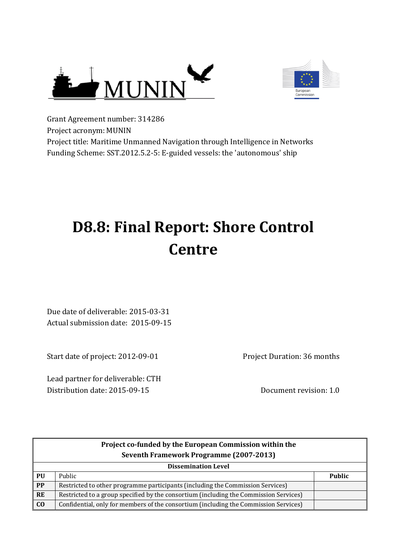



Grant Agreement number: 314286 Project acronym: MUNIN Project title: Maritime Unmanned Navigation through Intelligence in Networks Funding Scheme: SST.2012.5.2-5: E-guided vessels: the 'autonomous' ship

# **D8.8: Final Report: Shore Control Centre**

Due date of deliverable: 2015-03-31 Actual submission date: 2015-09-15

Start date of project: 2012-09-01

Lead partner for deliverable: CTH Distribution date: 2015-09-15 Document revision: 1.0

Project Duration: 36 months

|           | Project co-funded by the European Commission within the<br>Seventh Framework Programme (2007-2013) |               |  |  |
|-----------|----------------------------------------------------------------------------------------------------|---------------|--|--|
|           | <b>Dissemination Level</b>                                                                         |               |  |  |
| PU        | Public                                                                                             | <b>Public</b> |  |  |
| <b>PP</b> | Restricted to other programme participants (including the Commission Services)                     |               |  |  |
| <b>RE</b> | Restricted to a group specified by the consortium (including the Commission Services)              |               |  |  |
| $\bf{C0}$ | Confidential, only for members of the consortium (including the Commission Services)               |               |  |  |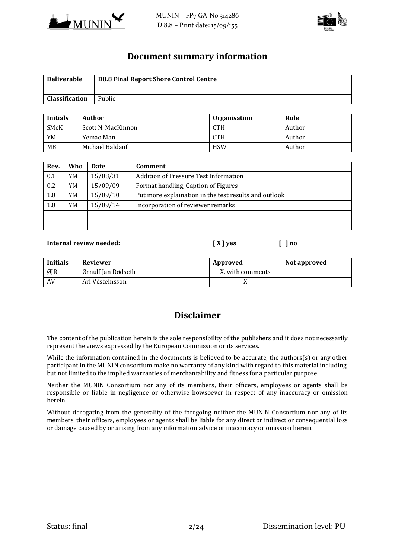



#### **Document summary information**

| <b>Deliverable</b>    | <b>D8.8 Final Report Shore Control Centre</b> |
|-----------------------|-----------------------------------------------|
|                       |                                               |
| <b>Classification</b> | Public                                        |

| <b>Initials</b> | Author             | <b>Organisation</b> | Role   |
|-----------------|--------------------|---------------------|--------|
| <b>SMcK</b>     | Scott N. MacKinnon | <b>CTH</b>          | Author |
| YM              | Yemao Man          | <b>CTH</b>          | Author |
| <b>MB</b>       | Michael Baldauf    | <b>HSW</b>          | Author |

| Rev. | Who | <b>Date</b> | <b>Comment</b>                                        |
|------|-----|-------------|-------------------------------------------------------|
| 0.1  | YM  | 15/08/31    | <b>Addition of Pressure Test Information</b>          |
| 0.2  | YM  | 15/09/09    | Format handling, Caption of Figures                   |
| 1.0  | YM  | 15/09/10    | Put more explaination in the test results and outlook |
| 1.0  | YM  | 15/09/14    | Incorporation of reviewer remarks                     |
|      |     |             |                                                       |
|      |     |             |                                                       |

#### **Internal review needed: [ X ] yes [ ] no**

#### **Initials** Reviewer **Approved** Not approved  $\emptyset$  |  $\emptyset$  |  $\emptyset$  rnulf Jan Rødseth  $\blacksquare$  X, with comments AV Ari Vésteinsson X

## **Disclaimer**

The content of the publication herein is the sole responsibility of the publishers and it does not necessarily represent the views expressed by the European Commission or its services.

While the information contained in the documents is believed to be accurate, the authors(s) or any other participant in the MUNIN consortium make no warranty of any kind with regard to this material including, but not limited to the implied warranties of merchantability and fitness for a particular purpose.

Neither the MUNIN Consortium nor any of its members, their officers, employees or agents shall be responsible or liable in negligence or otherwise howsoever in respect of any inaccuracy or omission herein.

Without derogating from the generality of the foregoing neither the MUNIN Consortium nor any of its members, their officers, employees or agents shall be liable for any direct or indirect or consequential loss or damage caused by or arising from any information advice or inaccuracy or omission herein.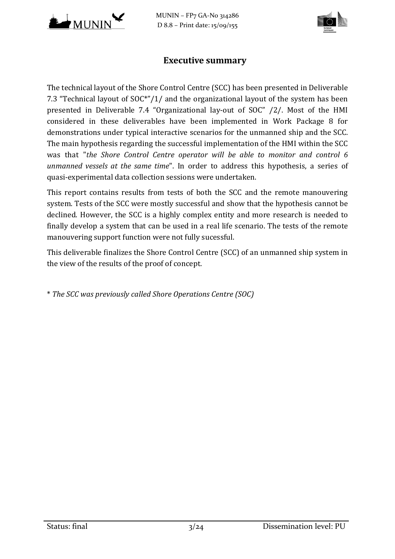

MUNIN – FP7 GA-No 314286 D 8.8 – Print date: 15/09/155



#### **Executive summary**

The technical layout of the Shore Control Centre (SCC) has been presented in Deliverable 7.3 "Technical layout of SOC\*"/1/ and the organizational layout of the system has been presented in Deliverable 7.4 "Organizational lay-out of SOC" /2/. Most of the HMI considered in these deliverables have been implemented in Work Package 8 for demonstrations under typical interactive scenarios for the unmanned ship and the SCC. The main hypothesis regarding the successful implementation of the HMI within the SCC was that "*the Shore Control Centre operator will be able to monitor and control 6 unmanned vessels at the same time*". In order to address this hypothesis, a series of quasi-experimental data collection sessions were undertaken.

This report contains results from tests of both the SCC and the remote manouvering system. Tests of the SCC were mostly successful and show that the hypothesis cannot be declined. However, the SCC is a highly complex entity and more research is needed to finally develop a system that can be used in a real life scenario. The tests of the remote manouvering support function were not fully sucessful.

This deliverable finalizes the Shore Control Centre (SCC) of an unmanned ship system in the view of the results of the proof of concept.

\* *The SCC was previously called Shore Operations Centre (SOC)*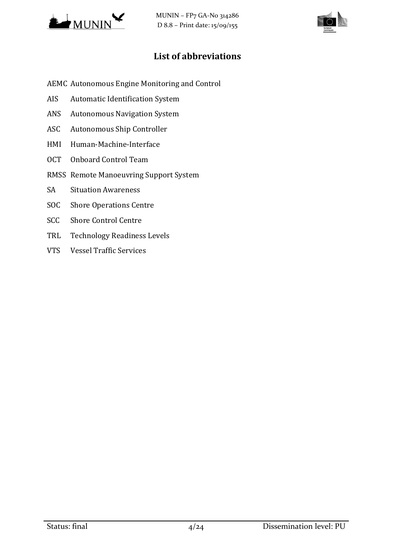



# **List of abbreviations**

- AEMC Autonomous Engine Monitoring and Control
- AIS Automatic Identification System
- ANS Autonomous Navigation System
- ASC Autonomous Ship Controller
- HMI Human-Machine-Interface
- OCT Onboard Control Team
- RMSS Remote Manoeuvring Support System
- SA Situation Awareness
- SOC Shore Operations Centre
- SCC Shore Control Centre
- TRL Technology Readiness Levels
- VTS Vessel Traffic Services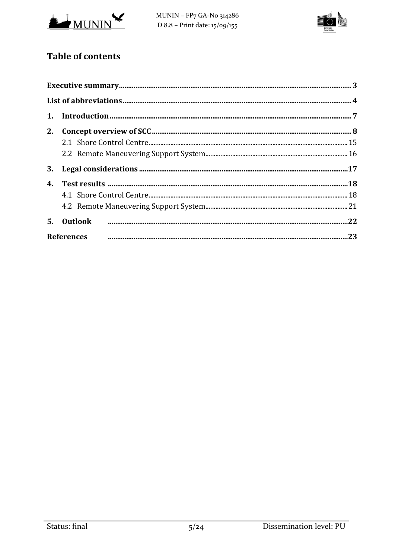



# **Table of contents**

| 5. Outlook        |  |
|-------------------|--|
| <b>References</b> |  |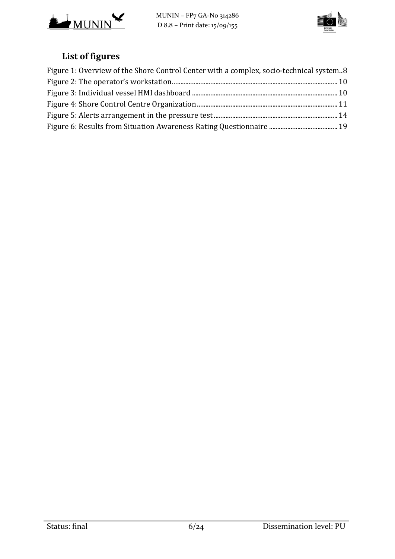



# **List of figures**

| Figure 1: Overview of the Shore Control Center with a complex, socio-technical system8 |  |
|----------------------------------------------------------------------------------------|--|
|                                                                                        |  |
|                                                                                        |  |
|                                                                                        |  |
|                                                                                        |  |
|                                                                                        |  |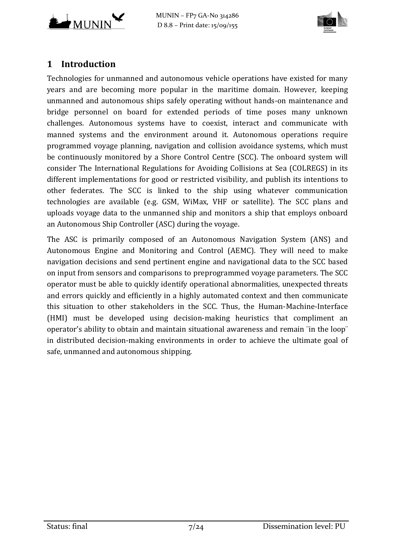



# **1 Introduction**

Technologies for unmanned and autonomous vehicle operations have existed for many years and are becoming more popular in the maritime domain. However, keeping unmanned and autonomous ships safely operating without hands-on maintenance and bridge personnel on board for extended periods of time poses many unknown challenges. Autonomous systems have to coexist, interact and communicate with manned systems and the environment around it. Autonomous operations require programmed voyage planning, navigation and collision avoidance systems, which must be continuously monitored by a Shore Control Centre (SCC). The onboard system will consider The International Regulations for Avoiding Collisions at Sea (COLREGS) in its different implementations for good or restricted visibility, and publish its intentions to other federates. The SCC is linked to the ship using whatever communication technologies are available (e.g. GSM, WiMax, VHF or satellite). The SCC plans and uploads voyage data to the unmanned ship and monitors a ship that employs onboard an Autonomous Ship Controller (ASC) during the voyage.

The ASC is primarily composed of an Autonomous Navigation System (ANS) and Autonomous Engine and Monitoring and Control (AEMC). They will need to make navigation decisions and send pertinent engine and navigational data to the SCC based on input from sensors and comparisons to preprogrammed voyage parameters. The SCC operator must be able to quickly identify operational abnormalities, unexpected threats and errors quickly and efficiently in a highly automated context and then communicate this situation to other stakeholders in the SCC. Thus, the Human-Machine-Interface (HMI) must be developed using decision-making heuristics that compliment an operator's ability to obtain and maintain situational awareness and remain ¨in the loop¨ in distributed decision-making environments in order to achieve the ultimate goal of safe, unmanned and autonomous shipping.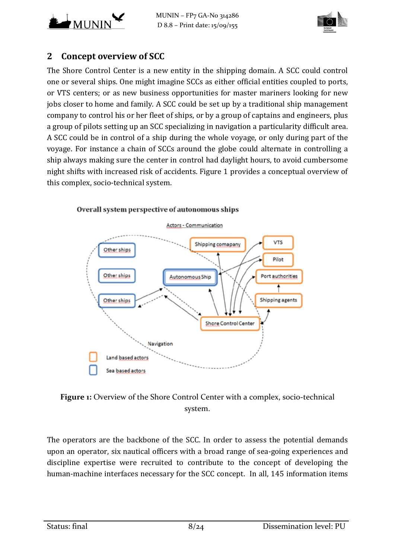



# **2 Concept overview of SCC**

The Shore Control Center is a new entity in the shipping domain. A SCC could control one or several ships. One might imagine SCCs as either official entities coupled to ports, or VTS centers; or as new business opportunities for master mariners looking for new jobs closer to home and family. A SCC could be set up by a traditional ship management company to control his or her fleet of ships, or by a group of captains and engineers, plus a group of pilots setting up an SCC specializing in navigation a particularity difficult area. A SCC could be in control of a ship during the whole voyage, or only during part of the voyage. For instance a chain of SCCs around the globe could alternate in controlling a ship always making sure the center in control had daylight hours, to avoid cumbersome night shifts with increased risk of accidents. [Figure](#page-7-0) 1 provides a conceptual overview of this complex, socio-technical system.



#### Overall system perspective of autonomous ships

<span id="page-7-0"></span>

The operators are the backbone of the SCC. In order to assess the potential demands upon an operator, six nautical officers with a broad range of sea-going experiences and discipline expertise were recruited to contribute to the concept of developing the human-machine interfaces necessary for the SCC concept. In all, 145 information items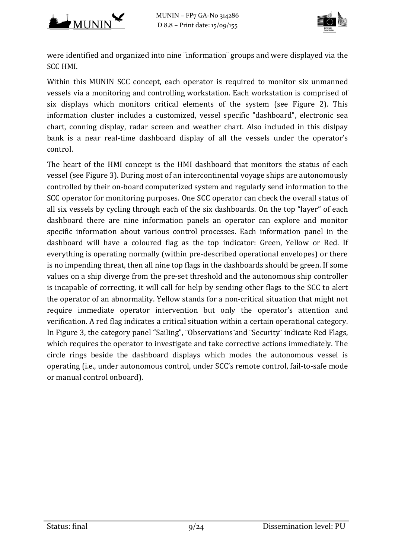



were identified and organized into nine ¨information¨ groups and were displayed via the SCC HMI.

Within this MUNIN SCC concept, each operator is required to monitor six unmanned vessels via a monitoring and controlling workstation. Each workstation is comprised of six displays which monitors critical elements of the system (see [Figure 2\)](#page-9-0). This information cluster includes a customized, vessel specific "dashboard", electronic sea chart, conning display, radar screen and weather chart. Also included in this dislpay bank is a near real-time dashboard display of all the vessels under the operator's control.

The heart of the HMI concept is the HMI dashboard that monitors the status of each vessel (see [Figure 3\)](#page-9-1). During most of an intercontinental voyage ships are autonomously controlled by their on-board computerized system and regularly send information to the SCC operator for monitoring purposes. One SCC operator can check the overall status of all six vessels by cycling through each of the six dashboards. On the top "layer" of each dashboard there are nine information panels an operator can explore and monitor specific information about various control processes. Each information panel in the dashboard will have a coloured flag as the top indicator: Green, Yellow or Red. If everything is operating normally (within pre-described operational envelopes) or there is no impending threat, then all nine top flags in the dashboards should be green. If some values on a ship diverge from the pre-set threshold and the autonomous ship controller is incapable of correcting, it will call for help by sending other flags to the SCC to alert the operator of an abnormality. Yellow stands for a non-critical situation that might not require immediate operator intervention but only the operator's attention and verification. A red flag indicates a critical situation within a certain operational category. In [Figure 3,](#page-9-1) the category panel "Sailing", ¨Observations¨and ¨Security¨ indicate Red Flags, which requires the operator to investigate and take corrective actions immediately. The circle rings beside the dashboard displays which modes the autonomous vessel is operating (i.e., under autonomous control, under SCC's remote control, fail-to-safe mode or manual control onboard).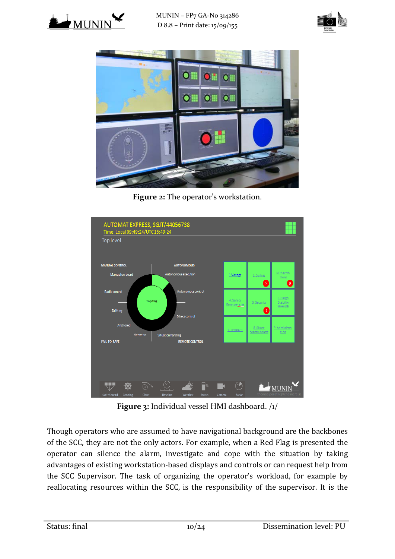





**Figure 2:** The operator's workstation.

<span id="page-9-0"></span>

**Figure 3:** Individual vessel HMI dashboard. /1/

<span id="page-9-1"></span>Though operators who are assumed to have navigational background are the backbones of the SCC, they are not the only actors. For example, when a Red Flag is presented the operator can silence the alarm, investigate and cope with the situation by taking advantages of existing workstation-based displays and controls or can request help from the SCC Supervisor. The task of organizing the operator's workload, for example by reallocating resources within the SCC, is the responsibility of the supervisor. It is the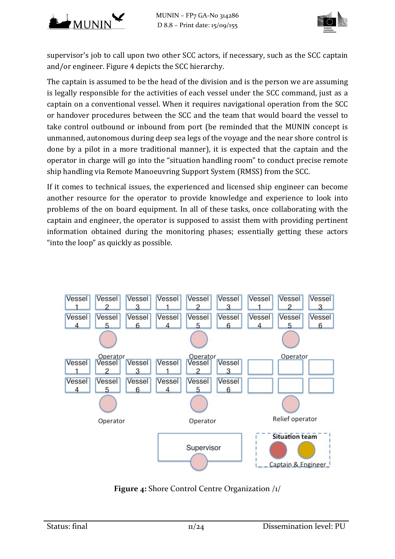

supervisor's job to call upon two other SCC actors, if necessary, such as the SCC captain and/or engineer. [Figure 4](#page-10-0) depicts the SCC hierarchy.

The captain is assumed to be the head of the division and is the person we are assuming is legally responsible for the activities of each vessel under the SCC command, just as a captain on a conventional vessel. When it requires navigational operation from the SCC or handover procedures between the SCC and the team that would board the vessel to take control outbound or inbound from port (be reminded that the MUNIN concept is unmanned, autonomous during deep sea legs of the voyage and the near shore control is done by a pilot in a more traditional manner), it is expected that the captain and the operator in charge will go into the "situation handling room" to conduct precise remote ship handling via Remote Manoeuvring Support System (RMSS) from the SCC.

If it comes to technical issues, the experienced and licensed ship engineer can become another resource for the operator to provide knowledge and experience to look into problems of the on board equipment. In all of these tasks, once collaborating with the captain and engineer, the operator is supposed to assist them with providing pertinent information obtained during the monitoring phases; essentially getting these actors "into the loop" as quickly as possible.



<span id="page-10-0"></span>**Figure 4:** Shore Control Centre Organization /1/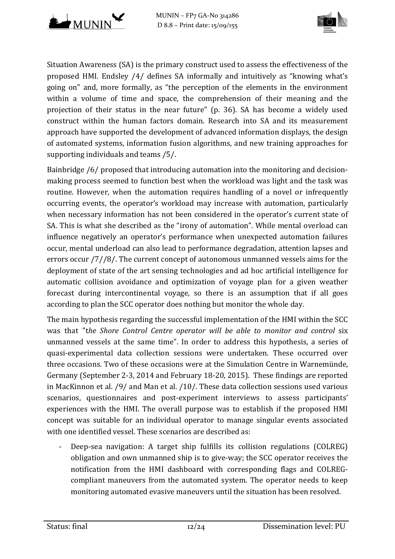



Situation Awareness (SA) is the primary construct used to assess the effectiveness of the proposed HMI. Endsley /4/ defines SA informally and intuitively as "knowing what's going on" and, more formally, as "the perception of the elements in the environment within a volume of time and space, the comprehension of their meaning and the projection of their status in the near future" (p. 36). SA has become a widely used construct within the human factors domain. Research into SA and its measurement approach have supported the development of advanced information displays, the design of automated systems, information fusion algorithms, and new training approaches for supporting individuals and teams /5/.

Bainbridge /6/ proposed that introducing automation into the monitoring and decisionmaking process seemed to function best when the workload was light and the task was routine. However, when the automation requires handling of a novel or infrequently occurring events, the operator's workload may increase with automation, particularly when necessary information has not been considered in the operator's current state of SA. This is what she described as the "irony of automation". While mental overload can influence negatively an operator's performance when unexpected automation failures occur, mental underload can also lead to performance degradation, attention lapses and errors occur /7//8/. The current concept of autonomous unmanned vessels aims for the deployment of state of the art sensing technologies and ad hoc artificial intelligence for automatic collision avoidance and optimization of voyage plan for a given weather forecast during intercontinental voyage, so there is an assumption that if all goes according to plan the SCC operator does nothing but monitor the whole day.

The main hypothesis regarding the successful implementation of the HMI within the SCC was that "the Shore Control Centre operator will be able to monitor and control six unmanned vessels at the same time". In order to address this hypothesis, a series of quasi-experimental data collection sessions were undertaken. These occurred over three occasions. Two of these occasions were at the Simulation Centre in Warnemünde, Germany (September 2-3, 2014 and February 18-20, 2015). These findings are reported in MacKinnon et al. /9/ and Man et al. /10/. These data collection sessions used various scenarios, questionnaires and post-experiment interviews to assess participants' experiences with the HMI. The overall purpose was to establish if the proposed HMI concept was suitable for an individual operator to manage singular events associated with one identified vessel. These scenarios are described as:

- Deep-sea navigation: A target ship fulfills its collision regulations (COLREG) obligation and own unmanned ship is to give-way; the SCC operator receives the notification from the HMI dashboard with corresponding flags and COLREGcompliant maneuvers from the automated system. The operator needs to keep monitoring automated evasive maneuvers until the situation has been resolved.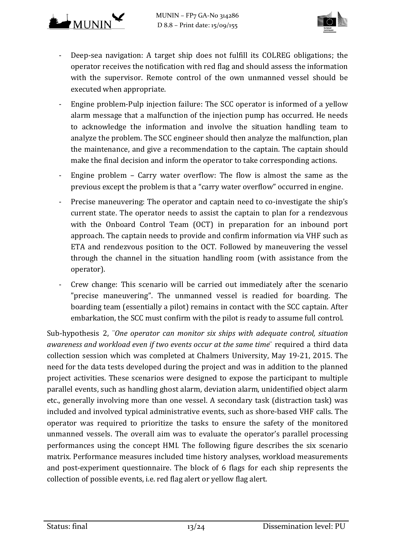



- Deep-sea navigation: A target ship does not fulfill its COLREG obligations; the operator receives the notification with red flag and should assess the information with the supervisor. Remote control of the own unmanned vessel should be executed when appropriate.
- Engine problem-Pulp injection failure: The SCC operator is informed of a yellow alarm message that a malfunction of the injection pump has occurred. He needs to acknowledge the information and involve the situation handling team to analyze the problem. The SCC engineer should then analyze the malfunction, plan the maintenance, and give a recommendation to the captain. The captain should make the final decision and inform the operator to take corresponding actions.
- Engine problem Carry water overflow: The flow is almost the same as the previous except the problem is that a "carry water overflow" occurred in engine.
- Precise maneuvering: The operator and captain need to co-investigate the ship's current state. The operator needs to assist the captain to plan for a rendezvous with the Onboard Control Team (OCT) in preparation for an inbound port approach. The captain needs to provide and confirm information via VHF such as ETA and rendezvous position to the OCT. Followed by maneuvering the vessel through the channel in the situation handling room (with assistance from the operator).
- Crew change: This scenario will be carried out immediately after the scenario "precise maneuvering". The unmanned vessel is readied for boarding. The boarding team (essentially a pilot) remains in contact with the SCC captain. After embarkation, the SCC must confirm with the pilot is ready to assume full control.

Sub-hypothesis 2, ¨*One operator can monitor six ships with adequate control, situation awareness and workload even if two events occur at the same time*¨ required a third data collection session which was completed at Chalmers University, May 19-21, 2015. The need for the data tests developed during the project and was in addition to the planned project activities. These scenarios were designed to expose the participant to multiple parallel events, such as handling ghost alarm, deviation alarm, unidentified object alarm etc., generally involving more than one vessel. A secondary task (distraction task) was included and involved typical administrative events, such as shore-based VHF calls. The operator was required to prioritize the tasks to ensure the safety of the monitored unmanned vessels. The overall aim was to evaluate the operator's parallel processing performances using the concept HMI. The following figure describes the six scenario matrix. Performance measures included time history analyses, workload measurements and post-experiment questionnaire. The block of 6 flags for each ship represents the collection of possible events, i.e. red flag alert or yellow flag alert.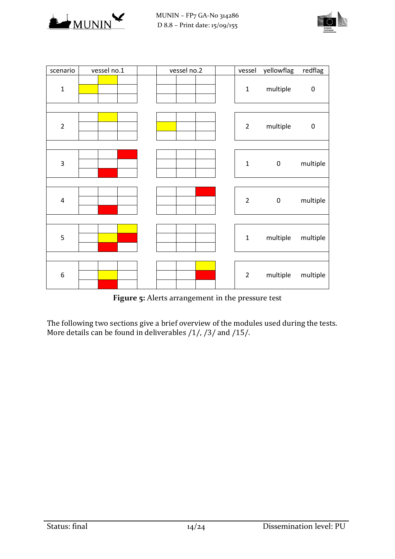



| scenario         | vessel no.1 | vessel no.2 | vessel         | yellowflag | redflag   |
|------------------|-------------|-------------|----------------|------------|-----------|
| $\mathbf{1}$     |             |             | $\mathbf 1$    | multiple   | $\pmb{0}$ |
|                  |             |             |                |            |           |
| $\overline{2}$   |             |             | $\overline{2}$ | multiple   | $\pmb{0}$ |
|                  |             |             |                |            |           |
| 3                |             |             | $\mathbf 1$    | $\pmb{0}$  | multiple  |
|                  |             |             |                |            |           |
| 4                |             |             | $\overline{2}$ | $\pmb{0}$  | multiple  |
|                  |             |             |                |            |           |
| 5                |             |             | $\mathbf 1$    | multiple   | multiple  |
|                  |             |             |                |            |           |
| $\boldsymbol{6}$ |             |             | $\overline{2}$ | multiple   | multiple  |

**Figure 5:** Alerts arrangement in the pressure test

<span id="page-13-0"></span>The following two sections give a brief overview of the modules used during the tests. More details can be found in deliverables /1/, /3/ and /15/.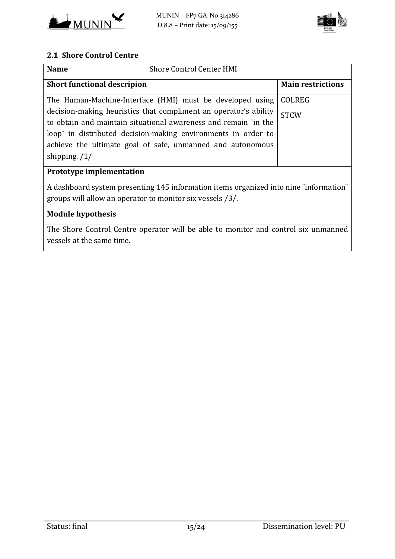



#### **2.1 Shore Control Centre**

| <b>Name</b>                                                                                                                                                                                                         | <b>Shore Control Center HMI</b>                            |               |  |  |  |
|---------------------------------------------------------------------------------------------------------------------------------------------------------------------------------------------------------------------|------------------------------------------------------------|---------------|--|--|--|
| <b>Short functional descripion</b>                                                                                                                                                                                  | <b>Main restrictions</b>                                   |               |  |  |  |
|                                                                                                                                                                                                                     | The Human-Machine-Interface (HMI) must be developed using  | <b>COLREG</b> |  |  |  |
| decision-making heuristics that compliment an operator's ability<br><b>STCW</b><br>to obtain and maintain situational awareness and remain "in the<br>loop" in distributed decision-making environments in order to |                                                            |               |  |  |  |
|                                                                                                                                                                                                                     | achieve the ultimate goal of safe, unmanned and autonomous |               |  |  |  |
| shipping. $/1/$                                                                                                                                                                                                     |                                                            |               |  |  |  |
| <b>Prototype implementation</b>                                                                                                                                                                                     |                                                            |               |  |  |  |
| A dashboard system presenting 145 information items organized into nine "information"                                                                                                                               |                                                            |               |  |  |  |
| groups will allow an operator to monitor six vessels /3/.                                                                                                                                                           |                                                            |               |  |  |  |
| <b>Module hypothesis</b>                                                                                                                                                                                            |                                                            |               |  |  |  |
| The Shore Control Centre operator will be able to monitor and control six unmanned                                                                                                                                  |                                                            |               |  |  |  |

vessels at the same time.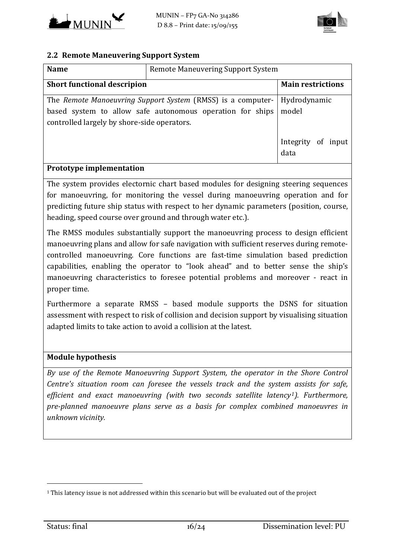



#### **2.2 Remote Maneuvering Support System**

| <b>Name</b>                                 | <b>Remote Maneuvering Support System</b>                                                                                 |                               |
|---------------------------------------------|--------------------------------------------------------------------------------------------------------------------------|-------------------------------|
| <b>Short functional descripion</b>          |                                                                                                                          | <b>Main restrictions</b>      |
| controlled largely by shore-side operators. | The Remote Manoeuvring Support System (RMSS) is a computer-<br>based system to allow safe autonomous operation for ships | Hydrodynamic<br>model         |
|                                             |                                                                                                                          | Integrity<br>of input<br>data |
| <b>Prototype implementation</b>             |                                                                                                                          |                               |

The system provides electornic chart based modules for designing steering sequences for manoeuvring, for monitoring the vessel during manoeuvring operation and for predicting future ship status with respect to her dynamic parameters (position, course, heading, speed course over ground and through water etc.).

The RMSS modules substantially support the manoeuvring process to design efficient manoeuvring plans and allow for safe navigation with sufficient reserves during remotecontrolled manoeuvring. Core functions are fast-time simulation based prediction capabilities, enabling the operator to "look ahead" and to better sense the ship's manoeuvring characteristics to foresee potential problems and moreover - react in proper time.

Furthermore a separate RMSS – based module supports the DSNS for situation assessment with respect to risk of collision and decision support by visualising situation adapted limits to take action to avoid a collision at the latest.

#### **Module hypothesis**

*By use of the Remote Manoeuvring Support System, the operator in the Shore Control Centre's situation room can foresee the vessels track and the system assists for safe, efficient and exact manoeuvring (with two seconds satellite latency[1\)](#page-15-0). Furthermore, pre‐planned manoeuvre plans serve as a basis for complex combined manoeuvres in unknown vicinity.*

i<br>I

<span id="page-15-0"></span><sup>&</sup>lt;sup>1</sup> This latency issue is not addressed within this scenario but will be evaluated out of the project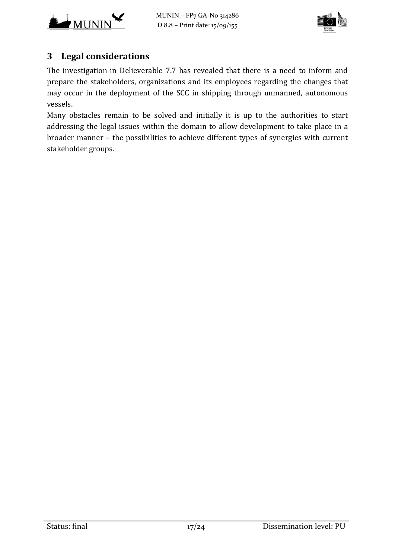



# **3 Legal considerations**

The investigation in Delieverable 7.7 has revealed that there is a need to inform and prepare the stakeholders, organizations and its employees regarding the changes that may occur in the deployment of the SCC in shipping through unmanned, autonomous vessels.

Many obstacles remain to be solved and initially it is up to the authorities to start addressing the legal issues within the domain to allow development to take place in a broader manner – the possibilities to achieve different types of synergies with current stakeholder groups.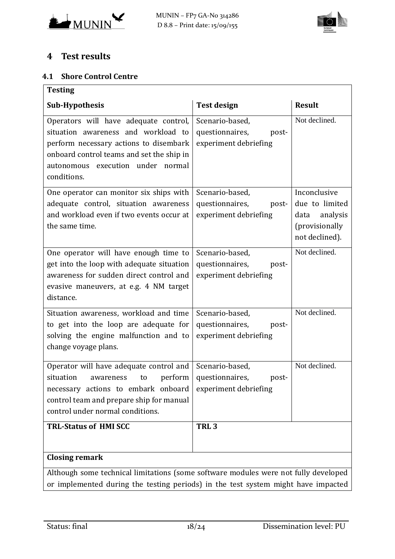



# **4 Test results**

#### **4.1 Shore Control Centre**

| <b>Testing</b>                                                                                                                                                                                                          |                                                                      |                                                                                        |  |
|-------------------------------------------------------------------------------------------------------------------------------------------------------------------------------------------------------------------------|----------------------------------------------------------------------|----------------------------------------------------------------------------------------|--|
| <b>Sub-Hypothesis</b>                                                                                                                                                                                                   | <b>Test design</b>                                                   | <b>Result</b>                                                                          |  |
| Operators will have adequate control,<br>situation awareness and workload to<br>perform necessary actions to disembark<br>onboard control teams and set the ship in<br>autonomous execution under normal<br>conditions. | Scenario-based,<br>questionnaires,<br>post-<br>experiment debriefing | Not declined.                                                                          |  |
| One operator can monitor six ships with<br>adequate control, situation awareness<br>and workload even if two events occur at<br>the same time.                                                                          | Scenario-based,<br>questionnaires,<br>post-<br>experiment debriefing | Inconclusive<br>due to limited<br>analysis<br>data<br>(provisionally<br>not declined). |  |
| One operator will have enough time to<br>get into the loop with adequate situation<br>awareness for sudden direct control and<br>evasive maneuvers, at e.g. 4 NM target<br>distance.                                    | Scenario-based,<br>questionnaires,<br>post-<br>experiment debriefing | Not declined.                                                                          |  |
| Situation awareness, workload and time<br>to get into the loop are adequate for<br>solving the engine malfunction and to<br>change voyage plans.                                                                        | Scenario-based,<br>questionnaires,<br>post-<br>experiment debriefing | Not declined.                                                                          |  |
| Operator will have adequate control and<br>perform<br>situation<br>to<br>awareness<br>necessary actions to embark onboard<br>control team and prepare ship for manual<br>control under normal conditions.               | Scenario-based,<br>questionnaires,<br>post-<br>experiment debriefing | Not declined.                                                                          |  |
| <b>TRL-Status of HMI SCC</b>                                                                                                                                                                                            | TRL <sub>3</sub>                                                     |                                                                                        |  |
| <b>Closing remark</b>                                                                                                                                                                                                   |                                                                      |                                                                                        |  |
| Although some technical limitations (some software modules were not fully developed<br>or implemented during the testing periods) in the test system might have impacted                                                |                                                                      |                                                                                        |  |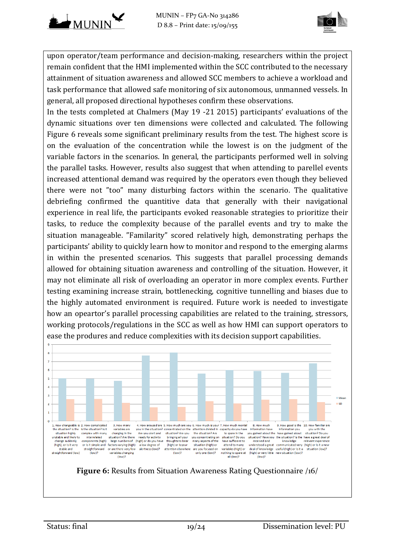



upon operator/team performance and decision-making, researchers within the project remain confident that the HMI implemented within the SCC contributed to the necessary attainment of situation awareness and allowed SCC members to achieve a workload and task performance that allowed safe monitoring of six autonomous, unmanned vessels. In general, all proposed directional hypotheses confirm these observations.

In the tests completed at Chalmers (May 19 -21 2015) participants' evaluations of the dynamic situations over ten dimensions were collected and calculated. The following [Figure 6](#page-18-0) reveals some significant preliminary results from the test. The highest score is on the evaluation of the concentration while the lowest is on the judgment of the variable factors in the scenarios. In general, the participants performed well in solving the parallel tasks. However, results also suggest that when attending to parellel events increased attentional demand was required by the operators even though they believed there were not "too" many disturbing factors within the scenario. The qualitative debriefing confirmed the quantitive data that generally with their navigational experience in real life, the participants evoked reasonable strategies to prioritize their tasks, to reduce the complexity because of the parallel events and try to make the situation manageable. "Familarity" scored relatively high, demonstrating perhaps the participants' ability to quickly learn how to monitor and respond to the emerging alarms in within the presented scenarios. This suggests that parallel processing demands allowed for obtaining situation awareness and controlling of the situation. However, it may not eliminate all risk of overloading an operator in more complex events. Further testing examining increase strain, bottlenecking, cognitive tunnelling and biases due to the highly automated environment is required. Future work is needed to investigate how an opeartor's parallel processing capabilities are related to the training, stressors, working protocols/regulations in the SCC as well as how HMI can support operators to ease the produres and reduce complexities with its decision support capabilities.



<span id="page-18-0"></span>**Figure 6:** Results from Situation Awareness Rating Questionnaire /16/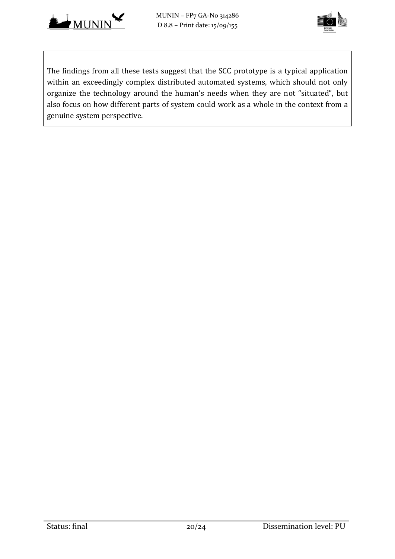



The findings from all these tests suggest that the SCC prototype is a typical application within an exceedingly complex distributed automated systems, which should not only organize the technology around the human's needs when they are not "situated", but also focus on how different parts of system could work as a whole in the context from a genuine system perspective.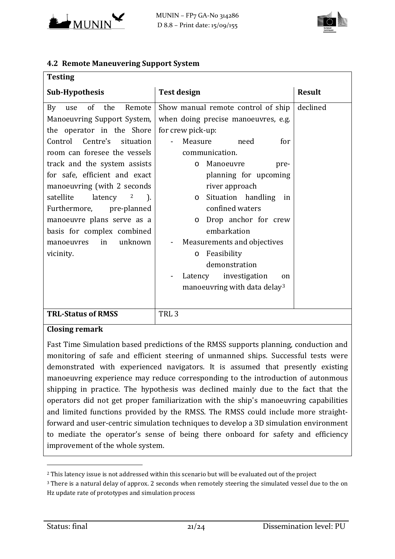



#### **4.2 Remote Maneuvering Support System**

| <b>Testing</b>                                    |                                          |               |
|---------------------------------------------------|------------------------------------------|---------------|
| <b>Sub-Hypothesis</b>                             | <b>Test design</b>                       | <b>Result</b> |
| of the<br>Remote<br>By<br>use                     | Show manual remote control of ship       | declined      |
| Manoeuvring Support System,                       | when doing precise manoeuvres, e.g.      |               |
| the operator in the Shore                         | for crew pick-up:                        |               |
| Control Centre's situation                        | Measure<br>need<br>for                   |               |
| room can foresee the vessels                      | communication.                           |               |
| track and the system assists                      | Manoeuvre<br>pre-<br>$\circ$             |               |
| for safe, efficient and exact                     | planning for upcoming                    |               |
| manoeuvring (with 2 seconds)                      | river approach                           |               |
| satellite<br>latency<br>$\mathbf{2}$<br>$\Box$ ). | Situation handling<br>in<br>$\circ$      |               |
| Furthermore, pre-planned                          | confined waters                          |               |
| manoeuvre plans serve as a                        | Drop anchor for crew<br>$\circ$          |               |
| basis for complex combined                        | embarkation                              |               |
| unknown<br>in<br>manoeuvres                       | Measurements and objectives              |               |
| vicinity.                                         | Feasibility<br>$\circ$                   |               |
|                                                   | demonstration                            |               |
|                                                   | Latency investigation<br>on              |               |
|                                                   | manoeuvring with data delay <sup>3</sup> |               |
|                                                   |                                          |               |
| <b>TRL-Status of RMSS</b>                         | TRL <sub>3</sub>                         |               |

#### **Closing remark**

Fast Time Simulation based predictions of the RMSS supports planning, conduction and monitoring of safe and efficient steering of unmanned ships. Successful tests were demonstrated with experienced navigators. It is assumed that presently existing manoeuvring experience may reduce corresponding to the introduction of autonmous shipping in practice. The hypothesis was declined mainly due to the fact that the operators did not get proper familiarization with the ship's manoeuvring capabilities and limited functions provided by the RMSS. The RMSS could include more straightforward and user-centric simulation techniques to develop a 3D simulation environment to mediate the operator's sense of being there onboard for safety and efficiency improvement of the whole system.

<span id="page-20-0"></span>i<br>I <sup>2</sup> This latency issue is not addressed within this scenario but will be evaluated out of the project

<span id="page-20-1"></span><sup>&</sup>lt;sup>3</sup> There is a natural delay of approx. 2 seconds when remotely steering the simulated vessel due to the on Hz update rate of prototypes and simulation process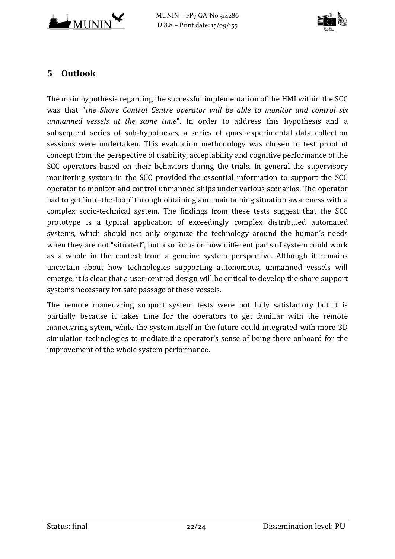



# **5 Outlook**

The main hypothesis regarding the successful implementation of the HMI within the SCC was that "*the Shore Control Centre operator will be able to monitor and control six unmanned vessels at the same time*". In order to address this hypothesis and a subsequent series of sub-hypotheses, a series of quasi-experimental data collection sessions were undertaken. This evaluation methodology was chosen to test proof of concept from the perspective of usability, acceptability and cognitive performance of the SCC operators based on their behaviors during the trials. In general the supervisory monitoring system in the SCC provided the essential information to support the SCC operator to monitor and control unmanned ships under various scenarios. The operator had to get ¨into-the-loop¨ through obtaining and maintaining situation awareness with a complex socio-technical system. The findings from these tests suggest that the SCC prototype is a typical application of exceedingly complex distributed automated systems, which should not only organize the technology around the human's needs when they are not "situated", but also focus on how different parts of system could work as a whole in the context from a genuine system perspective. Although it remains uncertain about how technologies supporting autonomous, unmanned vessels will emerge, it is clear that a user-centred design will be critical to develop the shore support systems necessary for safe passage of these vessels.

The remote maneuvring support system tests were not fully satisfactory but it is partially because it takes time for the operators to get familiar with the remote maneuvring sytem, while the system itself in the future could integrated with more 3D simulation technologies to mediate the operator's sense of being there onboard for the improvement of the whole system performance.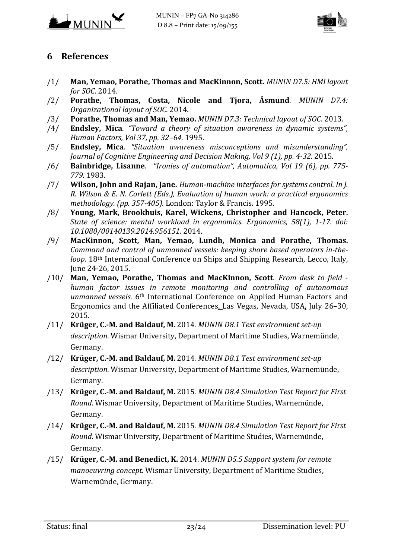



## **6 References**

- /1/ **Man, Yemao, Porathe, Thomas and MacKinnon, Scott.** *MUNIN D7.5: HMI layout for SOC*. 2014.
- /2/ **Porathe, Thomas, Costa, Nicole and Tjora, Åsmund**. *MUNIN D7.4: Organizational layout of SOC*. 2014.
- /3/ **Porathe, Thomas and Man, Yemao.** *MUNIN D7.3: Technical layout of SOC*. 2013.
- /4/ **Endsley, Mica**. *"Toward a theory of situation awareness in dynamic systems", Human Factors, Vol 37, pp. 32–64*. 1995.
- /5/ **Endsley, Mica**. *"Situation awareness misconceptions and misunderstanding", Journal of Cognitive Engineering and Decision Making, Vol 9 (1), pp. 4-32*. 2015.
- /6/ **Bainbridge, Lisanne**. *"Ironies of automation", Automatica, Vol 19 (6), pp. 775-779.* 1983.
- /7/ **Wilson, John and Rajan, Jane.** *Human-machine interfaces for systems control. In J. R. Wilson & E. N. Corlett (Eds.), Evaluation of human work: a practical ergonomics methodology. (pp. 357-405).* London: Taylor & Francis. 1995.
- /8/ **Young, Mark, Brookhuis, Karel, Wickens, Christopher and Hancock, Peter.** *State of science: mental workload in ergonomics. Ergonomics, 58(1), 1-17. doi: 10.1080/00140139.2014.956151.* 2014.
- /9/ **MacKinnon, Scott, Man, Yemao, Lundh, Monica and Porathe, Thomas.** *Command and control of unmanned vessels: keeping shore based operators in-theloop.* 18th International Conference on Ships and Shipping Research, Lecco, Italy, June 24-26, 2015.
- /10/ **Man, Yemao, Porathe, Thomas and MacKinnon, Scott**. *From desk to field human factor issues in remote monitoring and controlling of autonomous unmanned vessels*. 6th International Conference on Applied Human Factors and Ergonomics and the Affiliated Conferences, Las Vegas, Nevada, USA, July 26–30, 2015.
- /11/ **Krüger, C.-M. and Baldauf, M.** 2014. *MUNIN D8.1 Test environment set-up description*. Wismar University, Department of Maritime Studies, Warnemünde, Germany.
- /12/ **Krüger, C.-M. and Baldauf, M.** 2014. *MUNIN D8.1 Test environment set-up description*. Wismar University, Department of Maritime Studies, Warnemünde, Germany.
- /13/ **Krüger, C.-M. and Baldauf, M.** 2015. *MUNIN D8.4 Simulation Test Report for First Round*. Wismar University, Department of Maritime Studies, Warnemünde, Germany.
- /14/ **Krüger, C.-M. and Baldauf, M.** 2015. *MUNIN D8.4 Simulation Test Report for First Round*. Wismar University, Department of Maritime Studies, Warnemünde, Germany.
- /15/ **Krüger, C.-M. and Benedict, K.** 2014. *MUNIN D5.5 Support system for remote manoeuvring concept*. Wismar University, Department of Maritime Studies, Warnemünde, Germany.